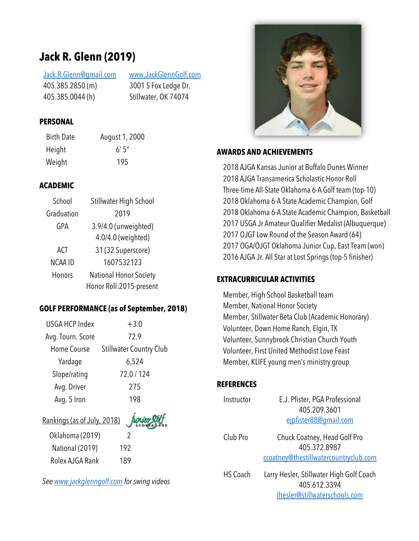# **Jack R. Glenn (2019)**

Jack.R.Glenn@gmail.com 405.385.2850 (m) 405.385.0044 (h)

www.JackGlennGolf.com 3001 S Fox Ledge Dr. Stillwater, OK 74074

### **PERSONAL**

Birth Date August 1, 2000 Height 6' 5" Weight 195

## **ACADEMIC**

| School         | Stillwater High School        |  |
|----------------|-------------------------------|--|
| Graduation     | 2019                          |  |
| GPA            | 3.9/4.0 (unweighted)          |  |
|                | 4.0/4.0 (weighted)            |  |
| ACT            | 31 (32 Superscore)            |  |
| <b>NCAA ID</b> | 1607532123                    |  |
| Honors         | <b>National Honor Society</b> |  |
|                | Honor Roll:2015-present       |  |

## **GOLF PERFORMANCE (as of September, 2018)**

| <b>USGA HCP Index</b> | $+3.0$                         |  |  |  |
|-----------------------|--------------------------------|--|--|--|
| Avg. Tourn. Score     | 72.9                           |  |  |  |
| Home Course           | <b>Stillwater Country Club</b> |  |  |  |
| Yardage               | 6,524                          |  |  |  |
| Slope/rating          | 72.0/124                       |  |  |  |
| Avg. Driver           | 275                            |  |  |  |
| Avg. 5 Iron           | 198                            |  |  |  |
|                       |                                |  |  |  |

# Rankings (as of July, 2018) Oklahoma (2019) 2

National (2019) 192 Rolex AJGA Rank 189

*See www.jackglenngolf.com for swing videos*



#### **AWARDS AND ACHIEVEMENTS**

2018 AJGA Kansas Junior at Buffalo Dunes Winner 2018 AJGA Transamerica Scholastic Honor Roll Three-time All-State Oklahoma 6-A Golf team (top-10) 2018 Oklahoma 6-A State Academic Champion, Golf 2018 Oklahoma 6-A State Academic Champion, Basketball 2017 USGA Jr Amateur Qualifier Medalist (Albuquerque) 2017 OJGT Low Round of the Season Award (64) 2017 OGA/OJGT Oklahoma Junior Cup, East Team (won) 2016 AJGA Jr. All Star at Lost Springs (top-5 finisher)

### **EXTRACURRICULAR ACTIVITIES**

Member, High School Basketball team Member, National Honor Society Member, Stillwater Beta Club (Academic Honorary) Volunteer, Down Home Ranch, Elgin, TX Volunteer, Sunnybrook Christian Church Youth Volunteer, First United Methodist Love Feast Member, KLIFE young men's ministry group

### **REFERENCES**

| Instructor      | E.J. Pfister, PGA Professional           |
|-----------------|------------------------------------------|
|                 | 405.209.3601                             |
|                 | eipfister88@gmail.com                    |
| Club Pro        | Chuck Coatney, Head Golf Pro             |
|                 | 405.372.8987                             |
|                 | ccoatney@thestillwatercountryclub.com    |
| <b>HS Coach</b> | Larry Hesler, Stillwater High Golf Coach |
|                 | 405.612.3394                             |
|                 | Ihesler@stillwaterschools.com            |